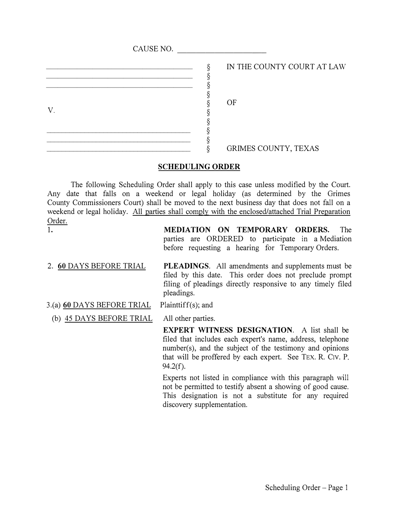| CAUSE NO. |                            |
|-----------|----------------------------|
|           | IN THE COUNTY COURT AT LAW |
| V         | OF                         |
|           |                            |
|           | GRIMES COUNTY, TEXAS       |

## **SCHEDULING ORDER**

The following Scheduling Order shall apply to this case unless modified by the Court. Any date that falls on a weekend or legal holiday (as determined by the Grimes County Commissioners Court) shall be moved to the next business day that does not fall on a weekend or legal holiday. All parties shall comply with the enclosed/attached Trial Preparation Order.

1. **MEDIATION ON TEMPORARY ORDERS.** The parties are ORDERED to participate in a Mediation before requesting a hearing for Temporary Orders.

- 2. **60** DAYS BEFORE TRIAL **PLEADINGS.** All amendments and supplements must be filed by this date. This order does not preclude prompt filing of pleadings directly responsive to any timely filed pleadings.
- 3.(a) **60** DAYS BEFORE TRIAL Plainttiff(s); and
	- (b) 45 DAYS BEFORE TRIAL All other parties.

**EXPERT WITNESS DESIGNATION.** A list shall be filed that includes each expert's name, address, telephone number(s), and the subject of the testimony and opinions that will be proffered by each expert. See TEX. R. C1v. P. 94.2(f).

Experts not listed in compliance with this paragraph will not be permitted to testify absent a showing of good cause. This designation is not a substitute for any required discovery supplementation.